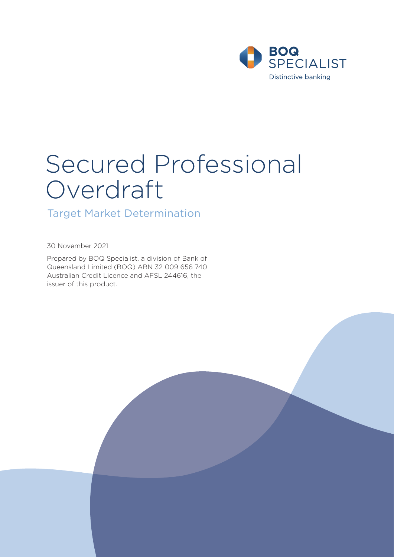

# Secured Professional Overdraft

Target Market Determination

30 November 2021

Prepared by BOQ Specialist, a division of Bank of Queensland Limited (BOQ) ABN 32 009 656 740 Australian Credit Licence and AFSL 244616, the issuer of this product.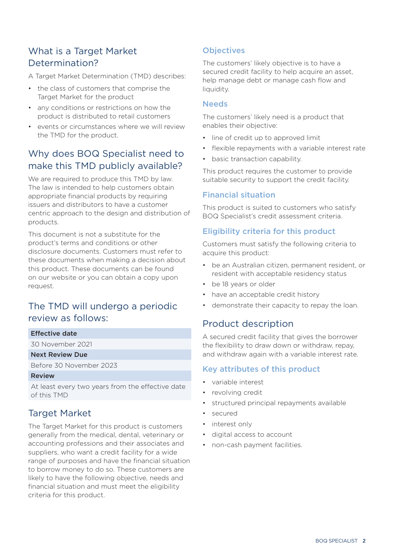# What is a Target Market Determination?

A Target Market Determination (TMD) describes:

- the class of customers that comprise the Target Market for the product
- any conditions or restrictions on how the product is distributed to retail customers
- events or circumstances where we will review the TMD for the product.

# Why does BOQ Specialist need to make this TMD publicly available?

We are required to produce this TMD by law. The law is intended to help customers obtain appropriate financial products by requiring issuers and distributors to have a customer centric approach to the design and distribution of products.

This document is not a substitute for the product's terms and conditions or other disclosure documents. Customers must refer to these documents when making a decision about this product. These documents can be found on our website or you can obtain a copy upon request.

# The TMD will undergo a periodic review as follows:

#### Effective date

30 November 2021

#### Next Review Due

Before 30 November 2023

#### Review

At least every two years from the effective date of this TMD

## Target Market

The Target Market for this product is customers generally from the medical, dental, veterinary or accounting professions and their associates and suppliers, who want a credit facility for a wide range of purposes and have the financial situation to borrow money to do so. These customers are likely to have the following objective, needs and financial situation and must meet the eligibility criteria for this product.

## **Objectives**

The customers' likely objective is to have a secured credit facility to help acquire an asset, help manage debt or manage cash flow and liquidity.

#### **Needs**

The customers' likely need is a product that enables their objective:

- line of credit up to approved limit
- flexible repayments with a variable interest rate
- basic transaction capability.

This product requires the customer to provide suitable security to support the credit facility.

#### Financial situation

This product is suited to customers who satisfy BOQ Specialist's credit assessment criteria.

#### Eligibility criteria for this product

Customers must satisfy the following criteria to acquire this product:

- be an Australian citizen, permanent resident, or resident with acceptable residency status
- be 18 years or older
- have an acceptable credit history
- demonstrate their capacity to repay the loan.

## Product description

A secured credit facility that gives the borrower the flexibility to draw down or withdraw, repay, and withdraw again with a variable interest rate.

#### Key attributes of this product

- variable interest
- revolving credit
- structured principal repayments available
- secured
- interest only
- digital access to account
- non-cash payment facilities.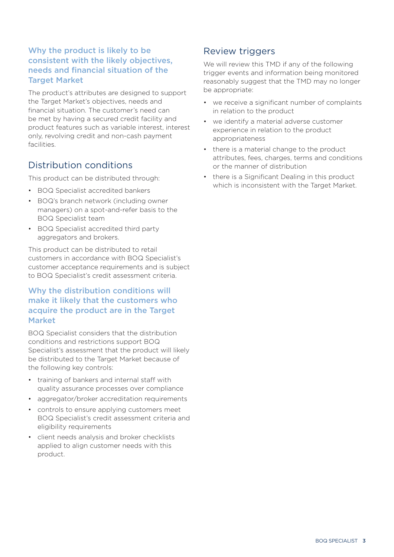## Why the product is likely to be consistent with the likely objectives, needs and financial situation of the Target Market

The product's attributes are designed to support the Target Market's objectives, needs and financial situation. The customer's need can be met by having a secured credit facility and product features such as variable interest, interest only, revolving credit and non-cash payment facilities.

## Distribution conditions

This product can be distributed through:

- BOQ Specialist accredited bankers
- BOQ's branch network (including owner managers) on a spot-and-refer basis to the BOQ Specialist team
- BOQ Specialist accredited third party aggregators and brokers.

This product can be distributed to retail customers in accordance with BOQ Specialist's customer acceptance requirements and is subject to BOQ Specialist's credit assessment criteria.

## Why the distribution conditions will make it likely that the customers who acquire the product are in the Target Market

BOQ Specialist considers that the distribution conditions and restrictions support BOQ Specialist's assessment that the product will likely be distributed to the Target Market because of the following key controls:

- training of bankers and internal staff with quality assurance processes over compliance
- aggregator/broker accreditation requirements
- controls to ensure applying customers meet BOQ Specialist's credit assessment criteria and eligibility requirements
- client needs analysis and broker checklists applied to align customer needs with this product.

# Review triggers

We will review this TMD if any of the following trigger events and information being monitored reasonably suggest that the TMD may no longer be appropriate:

- we receive a significant number of complaints in relation to the product
- we identify a material adverse customer experience in relation to the product appropriateness
- there is a material change to the product attributes, fees, charges, terms and conditions or the manner of distribution
- there is a Significant Dealing in this product which is inconsistent with the Target Market.